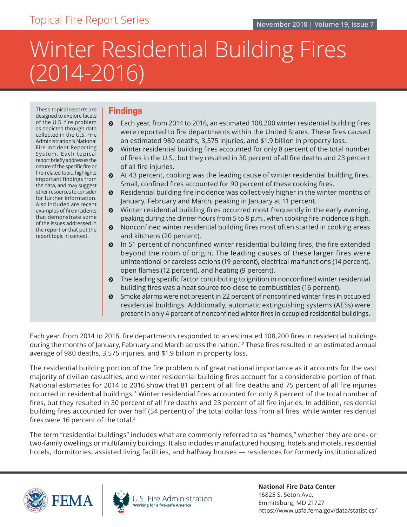# Winter Residential Building Fires (2014-2016)

These topical reports are designed to explore facets of the U.S. fire problem as depicted through data collected in the U.S. Fire Administration's National Fire Incident Reporting System. Each topical report briefly addresses the nature of the specific fire or fire-related topic, highlights important findings from the data, and may suggest other resources to consider for further information. Also included are recent examples of fire incidents that demonstrate some of the issues addressed in the report or that put the report topic in context.

# **Findings**

- ĵ Each year, from 2014 to 2016, an estimated 108,200 winter residential building fires were reported to fire departments within the United States. These fires caused an estimated 980 deaths, 3,575 injuries, and \$1.9 billion in property loss.
- ĵ Winter residential building fires accounted for only 8 percent of the total number of fires in the U.S., but they resulted in 30 percent of all fire deaths and 23 percent of all fire injuries.
- ĵ At 43 percent, cooking was the leading cause of winter residential building fires. Small, confined fires accounted for 90 percent of these cooking fires.
- **•** Residential building fire incidence was collectively higher in the winter months of January, February and March, peaking in January at 11 percent.
- ĵ Winter residential building fires occurred most frequently in the early evening, peaking during the dinner hours from 5 to 8 p.m., when cooking fire incidence is high.
- $\odot$  Nonconfined winter residential building fires most often started in cooking areas and kitchens (20 percent).
- $\odot$  In 51 percent of nonconfined winter residential building fires, the fire extended beyond the room of origin. The leading causes of these larger fires were unintentional or careless actions (19 percent), electrical malfunctions (14 percent), open flames (12 percent), and heating (9 percent).
- **•** The leading specific factor contributing to ignition in nonconfined winter residential building fires was a heat source too close to combustibles (16 percent).
- Smoke alarms were not present in 22 percent of nonconfined winter fires in occupied residential buildings. Additionally, automatic extinguishing systems (AESs) were present in only 4 percent of nonconfined winter fires in occupied residential buildings.

Each year, from 2014 to 2016, fire departments responded to an estimated 108,200 fires in residential buildings during the months of January, February and March across the nation.<sup>1,2</sup> These fires resulted in an estimated annual average of 980 deaths, 3,575 injuries, and \$1.9 billion in property loss.

The residential building portion of the fire problem is of great national importance as it accounts for the vast majority of civilian casualties, and winter residential building fires account for a considerable portion of that. National estimates for 2014 to 2016 show that 81 percent of all fire deaths and 75 percent of all fire injuries occurred in residential buildings.<sup>3</sup> Winter residential fires accounted for only 8 percent of the total number of fires, but they resulted in 30 percent of all fire deaths and 23 percent of all fire injuries. In addition, residential building fires accounted for over half (54 percent) of the total dollar loss from all fires, while winter residential fires were 16 percent of the total.<sup>4</sup>

The term "residential buildings" includes what are commonly referred to as "homes," whether they are one- or two-family dwellings or multifamily buildings. It also includes manufactured housing, hotels and motels, residential hotels, dormitories, assisted living facilities, and halfway houses — residences for formerly institutionalized





**National Fire Data Center** 16825 S. Seton Ave. Emmitsburg, MD 21727 https://www.usfa.fema.gov/data/statistics/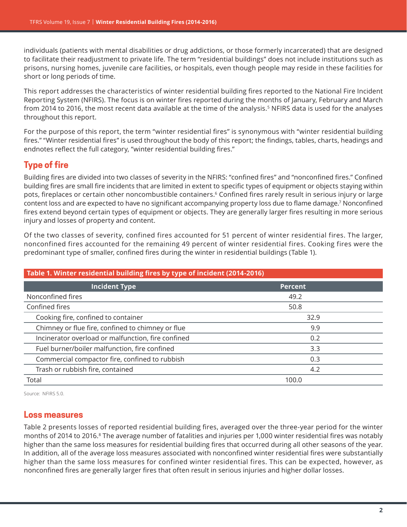individuals (patients with mental disabilities or drug addictions, or those formerly incarcerated) that are designed to facilitate their readjustment to private life. The term "residential buildings" does not include institutions such as prisons, nursing homes, juvenile care facilities, or hospitals, even though people may reside in these facilities for short or long periods of time.

This report addresses the characteristics of winter residential building fires reported to the National Fire Incident Reporting System (NFIRS). The focus is on winter fires reported during the months of January, February and March from 2014 to 2016, the most recent data available at the time of the analysis.<sup>5</sup> NFIRS data is used for the analyses throughout this report.

For the purpose of this report, the term "winter residential fires" is synonymous with "winter residential building fires." "Winter residential fires" is used throughout the body of this report; the findings, tables, charts, headings and endnotes reflect the full category, "winter residential building fires."

# **Type of fire**

Building fires are divided into two classes of severity in the NFIRS: "confined fires" and "nonconfined fires." Confined building fires are small fire incidents that are limited in extent to specific types of equipment or objects staying within pots, fireplaces or certain other noncombustible containers.<sup>6</sup> Confined fires rarely result in serious injury or large content loss and are expected to have no significant accompanying property loss due to flame damage.7 Nonconfined fires extend beyond certain types of equipment or objects. They are generally larger fires resulting in more serious injury and losses of property and content.

Of the two classes of severity, confined fires accounted for 51 percent of winter residential fires. The larger, nonconfined fires accounted for the remaining 49 percent of winter residential fires. Cooking fires were the predominant type of smaller, confined fires during the winter in residential buildings ([Table 1](#page-1-0)).

<span id="page-1-0"></span>

| Table 1. Winter residential building fires by type of incident (2014-2016) |         |  |
|----------------------------------------------------------------------------|---------|--|
| <b>Incident Type</b>                                                       | Percent |  |
| Nonconfined fires                                                          | 49.2    |  |
| Confined fires                                                             | 50.8    |  |
| Cooking fire, confined to container<br>32.9                                |         |  |
| Chimney or flue fire, confined to chimney or flue<br>9.9                   |         |  |
| Incinerator overload or malfunction, fire confined                         | 0.2     |  |
| Fuel burner/boiler malfunction, fire confined<br>3.3                       |         |  |
| Commercial compactor fire, confined to rubbish<br>0.3                      |         |  |
| Trash or rubbish fire, contained<br>4.2                                    |         |  |
| Total                                                                      | 100.0   |  |

Source: NFIRS 5.0.

## **Loss measures**

[Table 2](#page-2-0) presents losses of reported residential building fires, averaged over the three-year period for the winter months of 2014 to 2016.<sup>s</sup> The average number of fatalities and injuries per 1,000 winter residential fires was notably higher than the same loss measures for residential building fires that occurred during all other seasons of the year. In addition, all of the average loss measures associated with nonconfined winter residential fires were substantially higher than the same loss measures for confined winter residential fires. This can be expected, however, as nonconfined fires are generally larger fires that often result in serious injuries and higher dollar losses.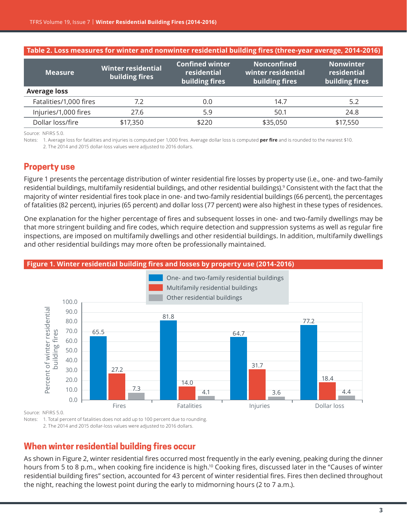| <b>Measure</b>         | <b>Winter residential</b><br>building fires | Confined winter<br>l residential <sup>l</sup><br>building fires | <b>Nonconfined</b><br>winter residential<br>building fires | <b>Nonwinter</b><br>residential<br>building fires |
|------------------------|---------------------------------------------|-----------------------------------------------------------------|------------------------------------------------------------|---------------------------------------------------|
| <b>Average loss</b>    |                                             |                                                                 |                                                            |                                                   |
| Fatalities/1,000 fires | 7.2                                         | 0.0                                                             | 14.7                                                       | 5.2                                               |
| Injuries/1,000 fires   | 27.6                                        | 5.9                                                             | 50.1                                                       | 24.8                                              |
| Dollar loss/fire       | \$17,350                                    | \$220                                                           | \$35,050                                                   | \$17,550                                          |

#### <span id="page-2-0"></span>**Table 2. Loss measures for winter and nonwinter residential building fires (three-year average, 2014-2016)**

Source: NFIRS 5.0.

Notes: 1. Average loss for fatalities and injuries is computed per 1,000 fires. Average dollar loss is computed **per fire** and is rounded to the nearest \$10.

2. The 2014 and 2015 dollar-loss values were adjusted to 2016 dollars.

# **Property use**

Figure 1 presents the percentage distribution of winter residential fire losses by property use (i.e., one- and two-family residential buildings, multifamily residential buildings, and other residential buildings).<sup>9</sup> Consistent with the fact that the majority of winter residential fires took place in one- and two-family residential buildings (66 percent), the percentages of fatalities (82 percent), injuries (65 percent) and dollar loss (77 percent) were also highest in these types of residences.

One explanation for the higher percentage of fires and subsequent losses in one- and two-family dwellings may be that more stringent building and fire codes, which require detection and suppression systems as well as regular fire inspections, are imposed on multifamily dwellings and other residential buildings. In addition, multifamily dwellings and other residential buildings may more often be professionally maintained.



#### **Figure 1. Winter residential building fires and losses by property use (2014-2016)**

Source: NFIRS 5.0.

Notes: 1. Total percent of fatalities does not add up to 100 percent due to rounding. 2. The 2014 and 2015 dollar-loss values were adjusted to 2016 dollars.

# **When winter residential building fires occur**

As shown in Figure 2, winter residential fires occurred most frequently in the early evening, peaking during the dinner hours from 5 to 8 p.m., when cooking fire incidence is high.<sup>10</sup> Cooking fires, discussed later in the "Causes of winter residential building fires" section, accounted for 43 percent of winter residential fires. Fires then declined throughout the night, reaching the lowest point during the early to midmorning hours (2 to 7 a.m.).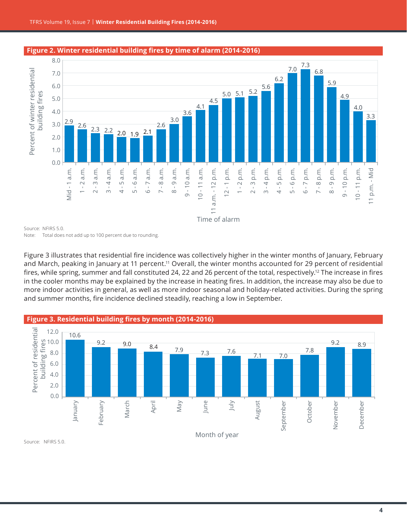



#### **Figure 2. Winter residential building fires by time of alarm (2014-2016)**

Source: NFIRS 5.0. Note: Total does not add up to 100 percent due to rounding.

Figure 3 illustrates that residential fire incidence was collectively higher in the winter months of January, February and March, peaking in January at 11 percent.<sup>11</sup> Overall, the winter months accounted for 29 percent of residential fires, while spring, summer and fall constituted 24, 22 and 26 percent of the total, respectively.12 The increase in fires in the cooler months may be explained by the increase in heating fires. In addition, the increase may also be due to more indoor activities in general, as well as more indoor seasonal and holiday-related activities. During the spring and summer months, fire incidence declined steadily, reaching a low in September.



Source: NFIRS 5.0.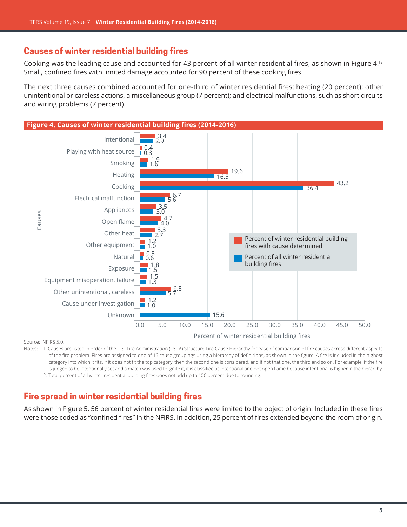# **Causes of winter residential building fires**

Cooking was the leading cause and accounted for 43 percent of all winter residential fires, as shown in Figure 4.13 Small, confined fires with limited damage accounted for 90 percent of these cooking fires.

The next three causes combined accounted for one-third of winter residential fires: heating (20 percent); other unintentional or careless actions, a miscellaneous group (7 percent); and electrical malfunctions, such as short circuits and wiring problems (7 percent).



Source: NFIRS 5.0.

Notes: 1. Causes are listed in order of the U.S. Fire Administration (USFA) Structure Fire Cause Hierarchy for ease of comparison of fire causes across different aspects of the fire problem. Fires are assigned to one of 16 cause groupings using a hierarchy of definitions, as shown in the figure. A fire is included in the highest category into which it fits. If it does not fit the top category, then the second one is considered, and if not that one, the third and so on. For example, if the fire is judged to be intentionally set and a match was used to ignite it, it is classified as intentional and not open flame because intentional is higher in the hierarchy. 2. Total percent of all winter residential building fires does not add up to 100 percent due to rounding.

# **Fire spread in winter residential building fires**

As shown in Figure 5, 56 percent of winter residential fires were limited to the object of origin. Included in these fires were those coded as "confined fires" in the NFIRS. In addition, 25 percent of fires extended beyond the room of origin.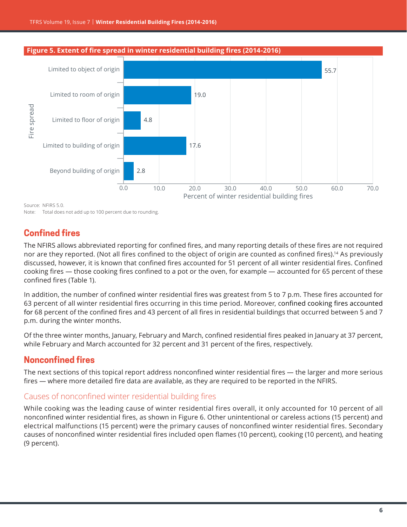**Figure 5. Extent of fire spread in winter residential building fires (2014-2016)**



Source: NFIRS 5.0.

Note: Total does not add up to 100 percent due to rounding.

# **Confined fires**

The NFIRS allows abbreviated reporting for confined fires, and many reporting details of these fires are not required nor are they reported. (Not all fires confined to the object of origin are counted as confined fires).14 As previously discussed, however, it is known that confined fires accounted for 51 percent of all winter residential fires. Confined cooking fires — those cooking fires confined to a pot or the oven, for example — accounted for 65 percent of these confined fires ([Table 1\)](#page-1-0).

In addition, the number of confined winter residential fires was greatest from 5 to 7 p.m. These fires accounted for 63 percent of all winter residential fires occurring in this time period. Moreover, confined cooking fires accounted for 68 percent of the confined fires and 43 percent of all fires in residential buildings that occurred between 5 and 7 p.m. during the winter months.

Of the three winter months, January, February and March, confined residential fires peaked in January at 37 percent, while February and March accounted for 32 percent and 31 percent of the fires, respectively.

# **Nonconfined fires**

The next sections of this topical report address nonconfined winter residential fires — the larger and more serious fires — where more detailed fire data are available, as they are required to be reported in the NFIRS.

## Causes of nonconfined winter residential building fires

While cooking was the leading cause of winter residential fires overall, it only accounted for 10 percent of all nonconfined winter residential fires, as shown in Figure 6. Other unintentional or careless actions (15 percent) and electrical malfunctions (15 percent) were the primary causes of nonconfined winter residential fires. Secondary causes of nonconfined winter residential fires included open flames (10 percent), cooking (10 percent), and heating (9 percent).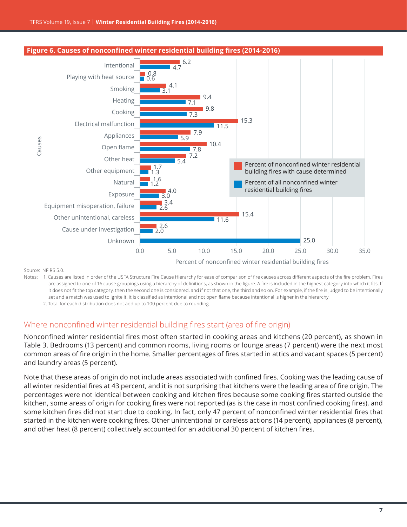

Source: NFIRS 5.0.

Notes: 1. Causes are listed in order of the USFA Structure Fire Cause Hierarchy for ease of comparison of fire causes across different aspects of the fire problem. Fires are assigned to one of 16 cause groupings using a hierarchy of definitions, as shown in the figure. A fire is included in the highest category into which it fits. If it does not fit the top category, then the second one is considered, and if not that one, the third and so on. For example, if the fire is judged to be intentionally set and a match was used to ignite it, it is classified as intentional and not open flame because intentional is higher in the hierarchy.

 2. Total for each distribution does not add up to 100 percent due to rounding.

#### Where nonconfined winter residential building fires start (area of fire origin)

Nonconfined winter residential fires most often started in cooking areas and kitchens (20 percent), as shown in Table 3. Bedrooms (13 percent) and common rooms, living rooms or lounge areas (7 percent) were the next most common areas of fire origin in the home. Smaller percentages of fires started in attics and vacant spaces (5 percent) and laundry areas (5 percent).

Note that these areas of origin do not include areas associated with confined fires. Cooking was the leading cause of all winter residential fires at 43 percent, and it is not surprising that kitchens were the leading area of fire origin. The percentages were not identical between cooking and kitchen fires because some cooking fires started outside the kitchen, some areas of origin for cooking fires were not reported (as is the case in most confined cooking fires), and some kitchen fires did not start due to cooking. In fact, only 47 percent of nonconfined winter residential fires that started in the kitchen were cooking fires. Other unintentional or careless actions (14 percent), appliances (8 percent), and other heat (8 percent) collectively accounted for an additional 30 percent of kitchen fires.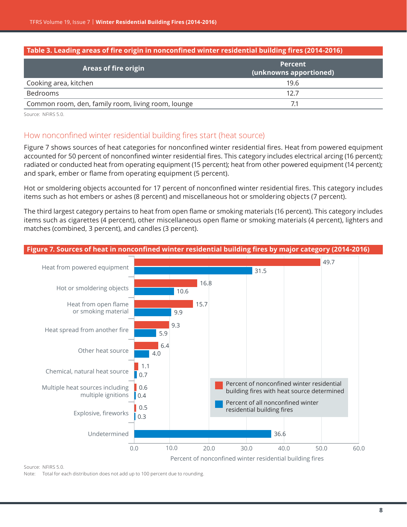#### **Table 3. Leading areas of fire origin in nonconfined winter residential building fires (2014-2016)**

| <b>Areas of fire origin</b>                        | <b>Percent</b><br>(unknowns apportioned) |
|----------------------------------------------------|------------------------------------------|
| Cooking area, kitchen                              | 19.6                                     |
| Bedrooms<br>12.7                                   |                                          |
| Common room, den, family room, living room, lounge | 7.1                                      |

Source: NFIRS 5.0.

## How nonconfined winter residential building fires start (heat source)

Figure 7 shows sources of heat categories for nonconfined winter residential fires. Heat from powered equipment accounted for 50 percent of nonconfined winter residential fires. This category includes electrical arcing (16 percent); radiated or conducted heat from operating equipment (15 percent); heat from other powered equipment (14 percent); and spark, ember or flame from operating equipment (5 percent).

Hot or smoldering objects accounted for 17 percent of nonconfined winter residential fires. This category includes items such as hot embers or ashes (8 percent) and miscellaneous hot or smoldering objects (7 percent).

The third largest category pertains to heat from open flame or smoking materials (16 percent). This category includes items such as cigarettes (4 percent), other miscellaneous open flame or smoking materials (4 percent), lighters and matches (combined, 3 percent), and candles (3 percent).

#### **Figure 7. Sources of heat in nonconfined winter residential building fires by major category (2014-2016)** Explosive, fireworks Multiple heat sources including multiple ignitions Chemical, natural heat source Other heat source Heat spread from another fire Heat from open flame or smoking material Hot or smoldering objects Heat from powered equipment Percent of nonconfined winter residential building fires with heat source determined Percent of all nonconfined winter residential building fires 49.7 31.5 16.8 10.6 15.7 9.9 9.3 5.9 6.4 4.0 1.1 0.7 0.6  $\vert \vert 0.4 \vert$ 0.5 0.3

Percent of nonconfined winter residential building fires 0.0 10.0 20.0 30.0 40.0 50.0 60.0

36.6

Source: NFIRS 5.0.

Note: Total for each distribution does not add up to 100 percent due to rounding.

Undetermined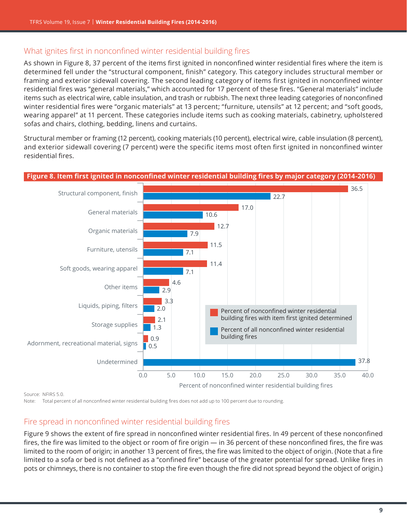## What ignites first in nonconfined winter residential building fires

As shown in Figure 8, 37 percent of the items first ignited in nonconfined winter residential fires where the item is determined fell under the "structural component, finish" category. This category includes structural member or framing and exterior sidewall covering. The second leading category of items first ignited in nonconfined winter residential fires was "general materials," which accounted for 17 percent of these fires. "General materials" include items such as electrical wire, cable insulation, and trash or rubbish. The next three leading categories of nonconfined winter residential fires were "organic materials" at 13 percent; "furniture, utensils" at 12 percent; and "soft goods, wearing apparel" at 11 percent. These categories include items such as cooking materials, cabinetry, upholstered sofas and chairs, clothing, bedding, linens and curtains.

Structural member or framing (12 percent), cooking materials (10 percent), electrical wire, cable insulation (8 percent), and exterior sidewall covering (7 percent) were the specific items most often first ignited in nonconfined winter residential fires.

#### **Figure 8. Item first ignited in nonconfined winter residential building fires by major category (2014-2016)**



Source: NFIRS 5.0.

Note: Total percent of all nonconfined winter residential building fires does not add up to 100 percent due to rounding.

#### Fire spread in nonconfined winter residential building fires

[Figure](#page-9-0) 9 shows the extent of fire spread in nonconfined winter residential fires. In 49 percent of these nonconfined fires, the fire was limited to the object or room of fire origin — in 36 percent of these nonconfined fires, the fire was limited to the room of origin; in another 13 percent of fires, the fire was limited to the object of origin. (Note that a fire limited to a sofa or bed is not defined as a "confined fire" because of the greater potential for spread. Unlike fires in pots or chimneys, there is no container to stop the fire even though the fire did not spread beyond the object of origin.)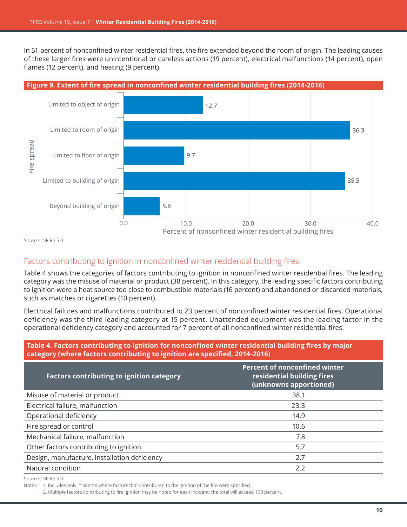In 51 percent of nonconfined winter residential fires, the fire extended beyond the room of origin. The leading causes of these larger fires were unintentional or careless actions (19 percent), electrical malfunctions (14 percent), open flames (12 percent), and heating (9 percent).

<span id="page-9-0"></span>

Source: NFIRS 5.0.

## Factors contributing to ignition in nonconfined winter residential building fires

[Table](#page-9-1) 4 shows the categories of factors contributing to ignition in nonconfined winter residential fires. The leading category was the misuse of material or product (38 percent). In this category, the leading specific factors contributing to ignition were a heat source too close to combustible materials (16 percent) and abandoned or discarded materials, such as matches or cigarettes (10 percent).

Electrical failures and malfunctions contributed to 23 percent of nonconfined winter residential fires. Operational deficiency was the third leading category at 15 percent. Unattended equipment was the leading factor in the operational deficiency category and accounted for 7 percent of all nonconfined winter residential fires.

#### <span id="page-9-1"></span>**Table 4. Factors contributing to ignition for nonconfined winter residential building fires by major category (where factors contributing to ignition are specified, 2014-2016)**

| <b>Factors contributing to ignition category</b> | <b>Percent of nonconfined winter</b><br>residential building fires<br>(unknowns apportioned) |
|--------------------------------------------------|----------------------------------------------------------------------------------------------|
| Misuse of material or product                    | 38.1                                                                                         |
| Electrical failure, malfunction                  | 23.3                                                                                         |
| Operational deficiency                           | 14.9                                                                                         |
| Fire spread or control                           | 10.6                                                                                         |
| Mechanical failure, malfunction                  | 7.8                                                                                          |
| Other factors contributing to ignition           | 5.7                                                                                          |
| Design, manufacture, installation deficiency     | 2.7                                                                                          |
| Natural condition                                | 2.2                                                                                          |

Source: NFIRS 5.0.

Notes: 1. Includes only incidents where factors that contributed to the ignition of the fire were specified.

 2. Multiple factors contributing to fire ignition may be noted for each incident; the total will exceed 100 percent.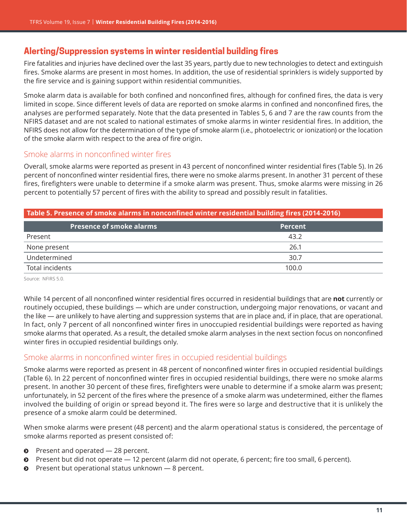# **Alerting/Suppression systems in winter residential building fires**

Fire fatalities and injuries have declined over the last 35 years, partly due to new technologies to detect and extinguish fires. Smoke alarms are present in most homes. In addition, the use of residential sprinklers is widely supported by the fire service and is gaining support within residential communities.

Smoke alarm data is available for both confined and nonconfined fires, although for confined fires, the data is very limited in scope. Since different levels of data are reported on smoke alarms in confined and nonconfined fires, the analyses are performed separately. Note that the data presented in Tables 5, 6 and 7 are the raw counts from the NFIRS dataset and are not scaled to national estimates of smoke alarms in winter residential fires. In addition, the NFIRS does not allow for the determination of the type of smoke alarm (i.e., photoelectric or ionization) or the location of the smoke alarm with respect to the area of fire origin.

## Smoke alarms in nonconfined winter fires

Overall, smoke alarms were reported as present in 43 percent of nonconfined winter residential fires (Table 5). In 26 percent of nonconfined winter residential fires, there were no smoke alarms present. In another 31 percent of these fires, firefighters were unable to determine if a smoke alarm was present. Thus, smoke alarms were missing in 26 percent to potentially 57 percent of fires with the ability to spread and possibly result in fatalities.

#### **Table 5. Presence of smoke alarms in nonconfined winter residential building fires (2014-2016)**

| <b>Presence of smoke alarms</b> | <b>Percent</b> |
|---------------------------------|----------------|
| Present                         | 43.2           |
| None present                    | 26.1           |
| Undetermined                    | 30.7           |
| Total incidents                 | 100.0          |

Source: NFIRS 5.0.

While 14 percent of all nonconfined winter residential fires occurred in residential buildings that are **not** currently or routinely occupied, these buildings — which are under construction, undergoing major renovations, or vacant and the like — are unlikely to have alerting and suppression systems that are in place and, if in place, that are operational. In fact, only 7 percent of all nonconfined winter fires in unoccupied residential buildings were reported as having smoke alarms that operated. As a result, the detailed smoke alarm analyses in the next section focus on nonconfined winter fires in occupied residential buildings only.

## Smoke alarms in nonconfined winter fires in occupied residential buildings

Smoke alarms were reported as present in 48 percent of nonconfined winter fires in occupied residential buildings (Table 6). In 22 percent of nonconfined winter fires in occupied residential buildings, there were no smoke alarms present. In another 30 percent of these fires, firefighters were unable to determine if a smoke alarm was present; unfortunately, in 52 percent of the fires where the presence of a smoke alarm was undetermined, either the flames involved the building of origin or spread beyond it. The fires were so large and destructive that it is unlikely the presence of a smoke alarm could be determined.

When smoke alarms were present (48 percent) and the alarm operational status is considered, the percentage of smoke alarms reported as present consisted of:

- $\bullet$  Present and operated  $-$  28 percent.
- $\odot$  Present but did not operate 12 percent (alarm did not operate, 6 percent; fire too small, 6 percent).
- Present but operational status unknown 8 percent.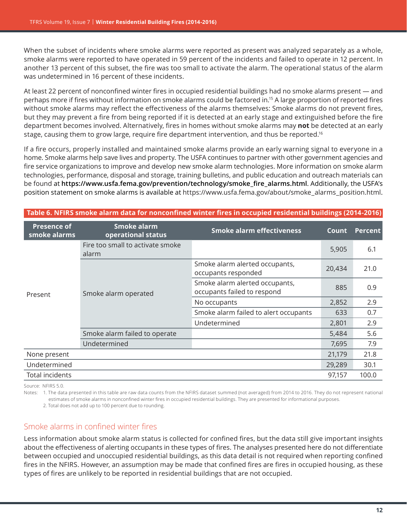When the subset of incidents where smoke alarms were reported as present was analyzed separately as a whole, smoke alarms were reported to have operated in 59 percent of the incidents and failed to operate in 12 percent. In another 13 percent of this subset, the fire was too small to activate the alarm. The operational status of the alarm was undetermined in 16 percent of these incidents.

At least 22 percent of nonconfined winter fires in occupied residential buildings had no smoke alarms present — and perhaps more if fires without information on smoke alarms could be factored in.15 A large proportion of reported fires without smoke alarms may reflect the effectiveness of the alarms themselves: Smoke alarms do not prevent fires, but they may prevent a fire from being reported if it is detected at an early stage and extinguished before the fire department becomes involved. Alternatively, fires in homes without smoke alarms may **not** be detected at an early stage, causing them to grow large, require fire department intervention, and thus be reported.<sup>16</sup>

If a fire occurs, properly installed and maintained smoke alarms provide an early warning signal to everyone in a home. Smoke alarms help save lives and property. The USFA continues to partner with other government agencies and fire service organizations to improve and develop new smoke alarm technologies. More information on smoke alarm technologies, performance, disposal and storage, training bulletins, and public education and outreach materials can be found at **[https://www.usfa.fema.gov/prevention/technology/smoke\\_fire\\_alarms.html](https://www.usfa.fema.gov/prevention/technology/smoke_fire_alarms.html)**. Additionally, the USFA's position statement on smoke alarms is available at [https://www.usfa.fema.gov/about/smoke\\_alarms\\_position.html](https://www.usfa.fema.gov/about/smoke_alarms_position.html).

| <b>Presence of</b><br>smoke alarms | Smoke alarm<br>operational status         | <b>Smoke alarm effectiveness</b>                              | <b>Count</b> | <b>Percent</b> |
|------------------------------------|-------------------------------------------|---------------------------------------------------------------|--------------|----------------|
| Present                            | Fire too small to activate smoke<br>alarm |                                                               | 5,905        | 6.1            |
|                                    | Smoke alarm operated                      | Smoke alarm alerted occupants,<br>occupants responded         | 20,434       | 21.0           |
|                                    |                                           | Smoke alarm alerted occupants,<br>occupants failed to respond | 885          | 0.9            |
|                                    |                                           | No occupants                                                  | 2,852        | 2.9            |
|                                    |                                           | Smoke alarm failed to alert occupants                         | 633          | 0.7            |
|                                    |                                           | Undetermined                                                  | 2,801        | 2.9            |
|                                    | Smoke alarm failed to operate             |                                                               | 5,484        | 5.6            |
|                                    | Undetermined                              |                                                               | 7,695        | 7.9            |
| None present                       |                                           |                                                               | 21,179       | 21.8           |
| Undetermined                       |                                           |                                                               | 29,289       | 30.1           |
| <b>Total incidents</b>             |                                           |                                                               | 97,157       | 100.0          |

#### **Table 6. NFIRS smoke alarm data for nonconfined winter fires in occupied residential buildings (2014-2016)**

Source: NFIRS 5.0.

Notes: 1. The data presented in this table are raw data counts from the NFIRS dataset summed (not averaged) from 2014 to 2016. They do not represent national estimates of smoke alarms in nonconfined winter fires in occupied residential buildings. They are presented for informational purposes.

2. Total does not add up to 100 percent due to rounding.

## Smoke alarms in confined winter fires

Less information about smoke alarm status is collected for confined fires, but the data still give important insights about the effectiveness of alerting occupants in these types of fires. The analyses presented here do not differentiate between occupied and unoccupied residential buildings, as this data detail is not required when reporting confined fires in the NFIRS. However, an assumption may be made that confined fires are fires in occupied housing, as these types of fires are unlikely to be reported in residential buildings that are not occupied.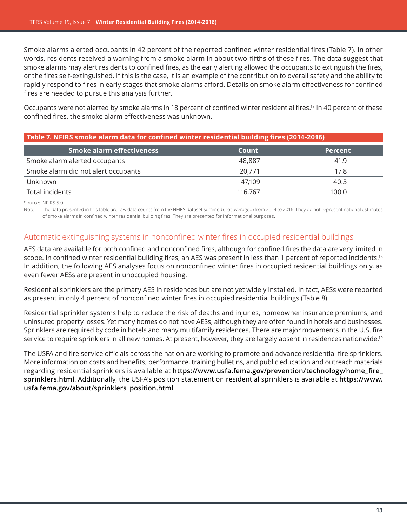Smoke alarms alerted occupants in 42 percent of the reported confined winter residential fires (Table 7). In other words, residents received a warning from a smoke alarm in about two-fifths of these fires. The data suggest that smoke alarms may alert residents to confined fires, as the early alerting allowed the occupants to extinguish the fires, or the fires self-extinguished. If this is the case, it is an example of the contribution to overall safety and the ability to rapidly respond to fires in early stages that smoke alarms afford. Details on smoke alarm effectiveness for confined fires are needed to pursue this analysis further.

Occupants were not alerted by smoke alarms in 18 percent of confined winter residential fires.<sup>17</sup> In 40 percent of these confined fires, the smoke alarm effectiveness was unknown.

| Table 7. NFIRS smoke alarm data for confined winter residential building fires (2014-2016) |         |                |
|--------------------------------------------------------------------------------------------|---------|----------------|
| <b>Smoke alarm effectiveness</b>                                                           | Count   | <b>Percent</b> |
| Smoke alarm alerted occupants                                                              | 48,887  | 41.9           |
| Smoke alarm did not alert occupants                                                        | 20.771  | 17.8           |
| Unknown                                                                                    | 47.109  | 40.3           |
| Total incidents                                                                            | 116,767 | 100.0          |

Source: NFIRS 5.0.

Note: The data presented in this table are raw data counts from the NFIRS dataset summed (not averaged) from 2014 to 2016. They do not represent national estimates of smoke alarms in confined winter residential building fires. They are presented for informational purposes.

## Automatic extinguishing systems in nonconfined winter fires in occupied residential buildings

AES data are available for both confined and nonconfined fires, although for confined fires the data are very limited in scope. In confined winter residential building fires, an AES was present in less than 1 percent of reported incidents.18 In addition, the following AES analyses focus on nonconfined winter fires in occupied residential buildings only, as even fewer AESs are present in unoccupied housing.

Residential sprinklers are the primary AES in residences but are not yet widely installed. In fact, AESs were reported as present in only 4 percent of nonconfined winter fires in occupied residential buildings (Table 8).

Residential sprinkler systems help to reduce the risk of deaths and injuries, homeowner insurance premiums, and uninsured property losses. Yet many homes do not have AESs, although they are often found in hotels and businesses. Sprinklers are required by code in hotels and many multifamily residences. There are major movements in the U.S. fire service to require sprinklers in all new homes. At present, however, they are largely absent in residences nationwide.19

The USFA and fire service officials across the nation are working to promote and advance residential fire sprinklers. More information on costs and benefits, performance, training bulletins, and public education and outreach materials regarding residential sprinklers is available at **[https://www.usfa.fema.gov/prevention/technology/home\\_fire\\_](https://www.usfa.fema.gov/prevention/technology/home_fire_sprinklers.html) [sprinklers.html](https://www.usfa.fema.gov/prevention/technology/home_fire_sprinklers.html)**. Additionally, the USFA's position statement on residential sprinklers is available at **[https://www.](https://www.usfa.fema.gov/about/sprinklers_position.html) [usfa.fema.gov/about/sprinklers\\_position.html](https://www.usfa.fema.gov/about/sprinklers_position.html)**.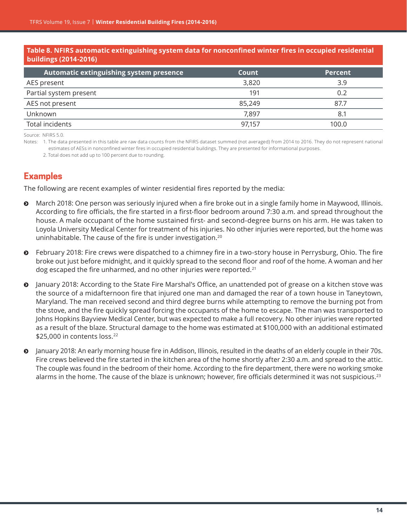#### **Table 8. NFIRS automatic extinguishing system data for nonconfined winter fires in occupied residential buildings (2014-2016)**

| Automatic extinguishing system presence | Count  | <b>Percent</b> |
|-----------------------------------------|--------|----------------|
| AES present                             | 3,820  | 3.9            |
| Partial system present                  | 191    | 0.2            |
| AES not present                         | 85,249 | 87.7           |
| Unknown                                 | 7.897  | 8.1            |
| <b>Total incidents</b>                  | 97.157 | 100.0          |

Source: NFIRS 5.0.

Notes: 1. The data presented in this table are raw data counts from the NFIRS dataset summed (not averaged) from 2014 to 2016. They do not represent national estimates of AESs in nonconfined winter fires in occupied residential buildings. They are presented for informational purposes.

2. Total does not add up to 100 percent due to rounding.

# **Examples**

The following are recent examples of winter residential fires reported by the media:

- ĵ March 2018: One person was seriously injured when a fire broke out in a single family home in Maywood, Illinois. According to fire officials, the fire started in a first-floor bedroom around 7:30 a.m. and spread throughout the house. A male occupant of the home sustained first- and second-degree burns on his arm. He was taken to Loyola University Medical Center for treatment of his injuries. No other injuries were reported, but the home was uninhabitable. The cause of the fire is under investigation.<sup>20</sup>
- **•** February 2018: Fire crews were dispatched to a chimney fire in a two-story house in Perrysburg, Ohio. The fire broke out just before midnight, and it quickly spread to the second floor and roof of the home. A woman and her dog escaped the fire unharmed, and no other injuries were reported.<sup>21</sup>
- January 2018: According to the State Fire Marshal's Office, an unattended pot of grease on a kitchen stove was the source of a midafternoon fire that injured one man and damaged the rear of a town house in Taneytown, Maryland. The man received second and third degree burns while attempting to remove the burning pot from the stove, and the fire quickly spread forcing the occupants of the home to escape. The man was transported to Johns Hopkins Bayview Medical Center, but was expected to make a full recovery. No other injuries were reported as a result of the blaze. Structural damage to the home was estimated at \$100,000 with an additional estimated \$25,000 in contents loss.<sup>22</sup>
- ĵ January 2018: An early morning house fire in Addison, Illinois, resulted in the deaths of an elderly couple in their 70s. Fire crews believed the fire started in the kitchen area of the home shortly after 2:30 a.m. and spread to the attic. The couple was found in the bedroom of their home. According to the fire department, there were no working smoke alarms in the home. The cause of the blaze is unknown; however, fire officials determined it was not suspicious.<sup>23</sup>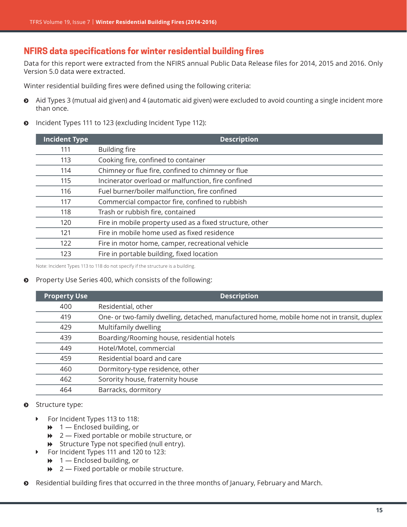# **NFIRS data specifications for winter residential building fires**

Data for this report were extracted from the NFIRS annual Public Data Release files for 2014, 2015 and 2016. Only Version 5.0 data were extracted.

Winter residential building fires were defined using the following criteria:

- Aid Types 3 (mutual aid given) and 4 (automatic aid given) were excluded to avoid counting a single incident more than once.
- **O** Incident Types 111 to 123 (excluding Incident Type 112):

| <b>Incident Type</b> | <b>Description</b>                                       |
|----------------------|----------------------------------------------------------|
| 111                  | <b>Building fire</b>                                     |
| 113                  | Cooking fire, confined to container                      |
| 114                  | Chimney or flue fire, confined to chimney or flue        |
| 115                  | Incinerator overload or malfunction, fire confined       |
| 116                  | Fuel burner/boiler malfunction, fire confined            |
| 117                  | Commercial compactor fire, confined to rubbish           |
| 118                  | Trash or rubbish fire, contained                         |
| 120                  | Fire in mobile property used as a fixed structure, other |
| 121                  | Fire in mobile home used as fixed residence              |
| 122                  | Fire in motor home, camper, recreational vehicle         |
| 123                  | Fire in portable building, fixed location                |

Note: Incident Types 113 to 118 do not specify if the structure is a building.

#### **O** Property Use Series 400, which consists of the following:

| <b>Property Use</b> | <b>Description</b>                                                                           |
|---------------------|----------------------------------------------------------------------------------------------|
| 400                 | Residential, other                                                                           |
| 419                 | One- or two-family dwelling, detached, manufactured home, mobile home not in transit, duplex |
| 429                 | Multifamily dwelling                                                                         |
| 439                 | Boarding/Rooming house, residential hotels                                                   |
| 449                 | Hotel/Motel, commercial                                                                      |
| 459                 | Residential board and care                                                                   |
| 460                 | Dormitory-type residence, other                                                              |
| 462                 | Sorority house, fraternity house                                                             |
| 464                 | Barracks, dormitory                                                                          |

#### $\odot$  Structure type:

- ▶ For Incident Types 113 to 118:
	- $\rightarrow$  1 Enclosed building, or
	- $\rightarrow$  2 Fixed portable or mobile structure, or
	- $\rightarrow$  Structure Type not specified (null entry).
- ▶ For Incident Types 111 and 120 to 123:
	- $\rightarrow$  1 Enclosed building, or
	- $\rightarrow$  2 Fixed portable or mobile structure.
- $\odot$  Residential building fires that occurred in the three months of January, February and March.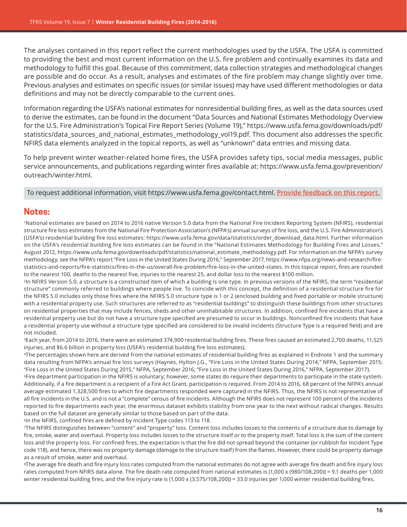The analyses contained in this report reflect the current methodologies used by the USFA. The USFA is committed to providing the best and most current information on the U.S. fire problem and continually examines its data and methodology to fulfill this goal. Because of this commitment, data collection strategies and methodological changes are possible and do occur. As a result, analyses and estimates of the fire problem may change slightly over time. Previous analyses and estimates on specific issues (or similar issues) may have used different methodologies or data definitions and may not be directly comparable to the current ones.

Information regarding the USFA's national estimates for nonresidential building fires, as well as the data sources used to derive the estimates, can be found in the document "Data Sources and National Estimates Methodology Overview for the U.S. Fire Administration's Topical Fire Report Series (Volume 19)," [https://www.usfa.fema.gov/downloads/pdf/](https://www.usfa.fema.gov/downloads/pdf/statistics/data_sources_and_national_estimates_methodology_vol19.pdf) [statistics/data\\_sources\\_and\\_national\\_estimates\\_methodology\\_vol19.pdf.](https://www.usfa.fema.gov/downloads/pdf/statistics/data_sources_and_national_estimates_methodology_vol19.pdf) This document also addresses the specific NFIRS data elements analyzed in the topical reports, as well as "unknown" data entries and missing data.

To help prevent winter weather-related home fires, the USFA provides safety tips, social media messages, public service announcements, and publications regarding winter fires available at: [https://www.usfa.fema.gov/prevention/](https://www.usfa.fema.gov/prevention/outreach/winter.html) [outreach/winter.html](https://www.usfa.fema.gov/prevention/outreach/winter.html).

To request additional information, visit <https://www.usfa.fema.gov/contact.html>. **[Provide feedback on this report.](https://apps.usfa.fema.gov/contact/dataReportEval?reportTitle= Winter%20Residential%20Building%20Fires%20(2014-2016))**

# **Notes:**

1National estimates are based on 2014 to 2016 native Version 5.0 data from the National Fire Incident Reporting System (NFIRS), residential structure fire loss estimates from the National Fire Protection Association's (NFPA's) annual surveys of fire loss, and the U.S. Fire Administration's (USFA's) residential building fire loss estimates: [https://www.usfa.fema.gov/data/statistics/order\\_download\\_data.html](https://www.usfa.fema.gov/data/statistics/order_download_data.html). Further information on the USFA's residential building fire loss estimates can be found in the "National Estimates Methodology for Building Fires and Losses," August 2012, [https://www.usfa.fema.gov/downloads/pdf/statistics/national\\_estimate\\_methodology.pdf.](https://www.usfa.fema.gov/downloads/pdf/statistics/national_estimate_methodology.pdf) For information on the NFPA's survey methodology, see the NFPA's report "Fire Loss in the United States During 2016," September 2017, [https://www.nfpa.org/news-and-research/fire](https://www.nfpa.org/news-and-research/fire-statistics-and-reports/fire-statistics/fires-in-the-us/overall-fire-problem/fire-loss-in-the-united-states)[statistics-and-reports/fire-statistics/fires-in-the-us/overall-fire-problem/fire-loss-in-the-united-states](https://www.nfpa.org/news-and-research/fire-statistics-and-reports/fire-statistics/fires-in-the-us/overall-fire-problem/fire-loss-in-the-united-states). In this topical report, fires are rounded to the nearest 100, deaths to the nearest five, injuries to the nearest 25, and dollar loss to the nearest \$100 million.

2In NFIRS Version 5.0, a structure is a constructed item of which a building is one type. In previous versions of the NFIRS, the term "residential structure" commonly referred to buildings where people live. To coincide with this concept, the definition of a residential structure fire for the NFIRS 5.0 includes only those fires where the NFIRS 5.0 structure type is 1 or 2 (enclosed building and fixed portable or mobile structure) with a residential property use. Such structures are referred to as "residential buildings" to distinguish these buildings from other structures on residential properties that may include fences, sheds and other uninhabitable structures. In addition, confined fire incidents that have a residential property use but do not have a structure type specified are presumed to occur in buildings. Nonconfined fire incidents that have a residential property use without a structure type specified are considered to be invalid incidents (Structure Type is a required field) and are not included.

3Each year, from 2014 to 2016, there were an estimated 374,900 residential building fires. These fires caused an estimated 2,700 deaths, 11,525 injuries, and \$6.6 billion in property loss (USFA's residential building fire loss estimates).

4The percentages shown here are derived from the national estimates of residential building fires as explained in Endnote 1 and the summary data resulting from NFPA's annual fire loss surveys (Haynes, Hylton J.G., "Fire Loss in the United States During 2014," NFPA, September 2015; "Fire Loss in the United States During 2015," NFPA, September 2016; "Fire Loss in the United States During 2016," NFPA, September 2017).

5Fire department participation in the NFIRS is voluntary; however, some states do require their departments to participate in the state system. Additionally, if a fire department is a recipient of a Fire Act Grant, participation is required. From 2014 to 2016, 68 percent of the NFPA's annual average estimated 1,328,500 fires to which fire departments responded were captured in the NFIRS. Thus, the NFIRS is not representative of all fire incidents in the U.S. and is not a "complete" census of fire incidents. Although the NFIRS does not represent 100 percent of the incidents reported to fire departments each year, the enormous dataset exhibits stability from one year to the next without radical changes. Results based on the full dataset are generally similar to those based on part of the data.

6In the NFIRS, confined fires are defined by Incident Type codes 113 to 118.

7The NFIRS distinguishes between "content" and "property" loss. Content loss includes losses to the contents of a structure due to damage by fire, smoke, water and overhaul. Property loss includes losses to the structure itself or to the property itself. Total loss is the sum of the content loss and the property loss. For confined fires, the expectation is that the fire did not spread beyond the container (or rubbish for Incident Type code 118), and hence, there was no property damage (damage to the structure itself) from the flames. However, there could be property damage as a result of smoke, water and overhaul.

<sup>8</sup>The average fire death and fire injury loss rates computed from the national estimates do not agree with average fire death and fire injury loss rates computed from NFIRS data alone. The fire death rate computed from national estimates is (1,000 x (980/108,200)) = 9.1 deaths per 1,000 winter residential building fires, and the fire injury rate is (1,000 x (3,575/108,200)) = 33.0 injuries per 1,000 winter residential building fires.